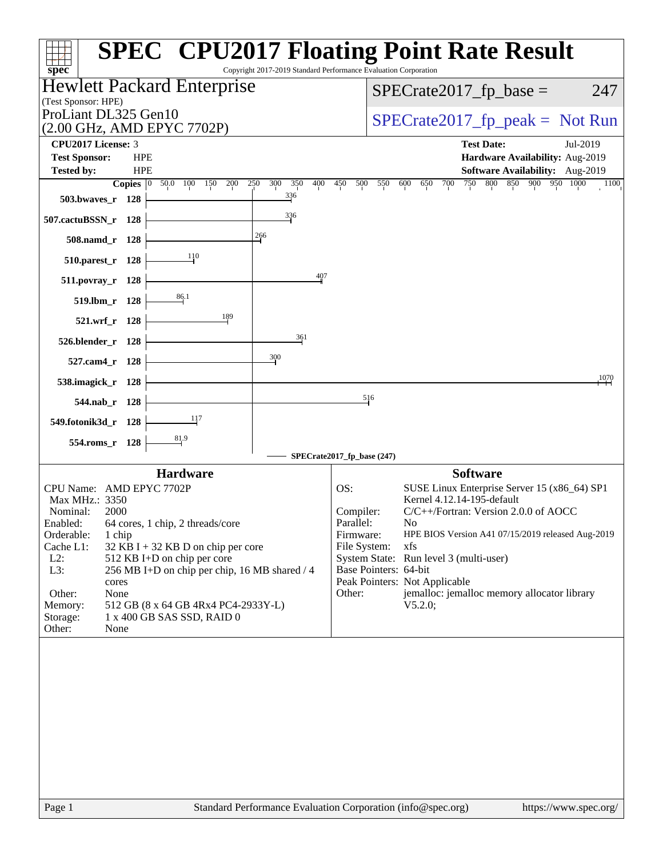| spec <sup>®</sup>                                                                                       | <b>SPEC<sup>®</sup></b> CPU2017 Floating Point Rate Result<br>Copyright 2017-2019 Standard Performance Evaluation Corporation |
|---------------------------------------------------------------------------------------------------------|-------------------------------------------------------------------------------------------------------------------------------|
| <b>Hewlett Packard Enterprise</b>                                                                       | $SPECrate2017_fp\_base =$<br>247                                                                                              |
| (Test Sponsor: HPE)<br>ProLiant DL325 Gen10                                                             |                                                                                                                               |
| (2.00 GHz, AMD EPYC 7702P)                                                                              | $SPECTate2017_fp\_peak = Not Run$                                                                                             |
| <b>CPU2017 License: 3</b>                                                                               | <b>Test Date:</b><br>Jul-2019                                                                                                 |
| <b>Test Sponsor:</b><br><b>HPE</b>                                                                      | Hardware Availability: Aug-2019                                                                                               |
| <b>Tested by:</b><br><b>HPE</b><br>300<br>350<br>Copies $ 0\rangle$<br>50.0<br>100<br>150<br>200<br>250 | Software Availability: Aug-2019<br>400<br>450<br>750<br>800<br>850<br>900 950 1000<br>500<br>550<br>600<br>700<br>650<br>1100 |
| $\frac{336}{4}$<br>503.bwaves_r 128                                                                     |                                                                                                                               |
| 336<br>507.cactuBSSN_r 128                                                                              |                                                                                                                               |
| 266<br>508.namd_r 128                                                                                   |                                                                                                                               |
| 110<br>510.parest_r 128                                                                                 |                                                                                                                               |
| 511.povray_r 128                                                                                        | 407                                                                                                                           |
| 86.1<br>519.lbm_r 128                                                                                   |                                                                                                                               |
| 189<br>521.wrf_r 128                                                                                    |                                                                                                                               |
| 361<br>526.blender_r 128                                                                                |                                                                                                                               |
| $\frac{300}{2}$<br>527.cam4_r 128                                                                       |                                                                                                                               |
| 538.imagick_r 128                                                                                       | 1070                                                                                                                          |
| 544.nab r 128                                                                                           | 516                                                                                                                           |
| 117<br>549.fotonik3d_r 128                                                                              |                                                                                                                               |
| 81.9<br>554.roms_r 128                                                                                  |                                                                                                                               |
|                                                                                                         | SPECrate2017_fp_base (247)                                                                                                    |
| <b>Hardware</b>                                                                                         | <b>Software</b>                                                                                                               |
| CPU Name: AMD EPYC 7702P<br>Max MHz.: 3350                                                              | OS:<br>SUSE Linux Enterprise Server 15 (x86_64) SP1<br>Kernel 4.12.14-195-default                                             |
| Nominal:<br>2000                                                                                        | C/C++/Fortran: Version 2.0.0 of AOCC<br>Compiler:                                                                             |
| Enabled:<br>64 cores, 1 chip, 2 threads/core                                                            | Parallel:<br>No.                                                                                                              |
| Orderable:<br>1 chip<br>Cache L1:<br>32 KB I + 32 KB D on chip per core                                 | HPE BIOS Version A41 07/15/2019 released Aug-2019<br>Firmware:<br>File System:<br>xfs                                         |
| $L2$ :<br>512 KB I+D on chip per core                                                                   | System State: Run level 3 (multi-user)                                                                                        |
| L3:<br>256 MB I+D on chip per chip, 16 MB shared / 4                                                    | Base Pointers: 64-bit                                                                                                         |
| cores<br>Other:<br>None                                                                                 | Peak Pointers: Not Applicable<br>jemalloc: jemalloc memory allocator library                                                  |
| 512 GB (8 x 64 GB 4Rx4 PC4-2933Y-L)<br>Memory:                                                          | Other:<br>V5.2.0;                                                                                                             |
| Storage:<br>1 x 400 GB SAS SSD, RAID 0                                                                  |                                                                                                                               |
| Other:<br>None                                                                                          |                                                                                                                               |
|                                                                                                         |                                                                                                                               |
|                                                                                                         |                                                                                                                               |
| Page 1                                                                                                  | Standard Performance Evaluation Corporation (info@spec.org)<br>https://www.spec.org/                                          |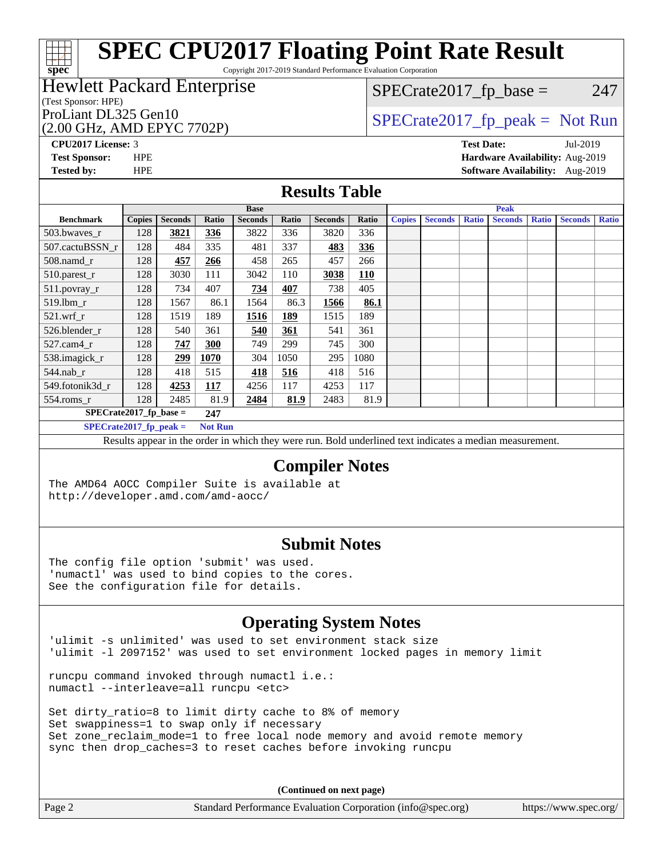Copyright 2017-2019 Standard Performance Evaluation Corporation

### Hewlett Packard Enterprise

(Test Sponsor: HPE)

### (2.00 GHz, AMD EPYC 7702P)

 $SPECTate2017<sub>fr</sub> base = 247$ 

### ProLiant DL325 Gen10<br>  $\begin{array}{r} \text{SPECrate2017\_fp\_peak = Not Run} \\ \text{SPECrate2017\_fp\_peak = Not Run} \end{array}$

**[spec](http://www.spec.org/)**

**[CPU2017 License:](http://www.spec.org/auto/cpu2017/Docs/result-fields.html#CPU2017License)** 3 **[Test Date:](http://www.spec.org/auto/cpu2017/Docs/result-fields.html#TestDate)** Jul-2019 **[Test Sponsor:](http://www.spec.org/auto/cpu2017/Docs/result-fields.html#TestSponsor)** HPE **[Hardware Availability:](http://www.spec.org/auto/cpu2017/Docs/result-fields.html#HardwareAvailability)** Aug-2019 **[Tested by:](http://www.spec.org/auto/cpu2017/Docs/result-fields.html#Testedby)** HPE **[Software Availability:](http://www.spec.org/auto/cpu2017/Docs/result-fields.html#SoftwareAvailability)** Aug-2019

#### **[Results Table](http://www.spec.org/auto/cpu2017/Docs/result-fields.html#ResultsTable)**

|                                 | <b>Base</b>   |                |             |                | <b>Peak</b> |                |            |               |                |              |                |              |                |              |
|---------------------------------|---------------|----------------|-------------|----------------|-------------|----------------|------------|---------------|----------------|--------------|----------------|--------------|----------------|--------------|
| <b>Benchmark</b>                | <b>Copies</b> | <b>Seconds</b> | Ratio       | <b>Seconds</b> | Ratio       | <b>Seconds</b> | Ratio      | <b>Copies</b> | <b>Seconds</b> | <b>Ratio</b> | <b>Seconds</b> | <b>Ratio</b> | <b>Seconds</b> | <b>Ratio</b> |
| 503.bwayes r                    | 128           | 3821           | <u>336</u>  | 3822           | 336         | 3820           | 336        |               |                |              |                |              |                |              |
| 507.cactuBSSN r                 | 128           | 484            | 335         | 481            | 337         | 483            | 336        |               |                |              |                |              |                |              |
| 508.namd_r                      | 128           | 457            | 266         | 458            | 265         | 457            | 266        |               |                |              |                |              |                |              |
| 510.parest_r                    | 128           | 3030           | 111         | 3042           | 110         | 3038           | <u>110</u> |               |                |              |                |              |                |              |
| 511.povray_r                    | 128           | 734            | 407         | 734            | 407         | 738            | 405        |               |                |              |                |              |                |              |
| 519.lbm r                       | 128           | 1567           | 86.1        | 1564           | 86.3        | 1566           | 86.1       |               |                |              |                |              |                |              |
| $521$ .wrf r                    | 128           | 1519           | 189         | 1516           | 189         | 1515           | 189        |               |                |              |                |              |                |              |
| 526.blender r                   | 128           | 540            | 361         | 540            | 361         | 541            | 361        |               |                |              |                |              |                |              |
| $527$ .cam $4$ r                | 128           | 747            | 300         | 749            | 299         | 745            | 300        |               |                |              |                |              |                |              |
| 538.imagick_r                   | 128           | 299            | <b>1070</b> | 304            | 1050        | 295            | 1080       |               |                |              |                |              |                |              |
| $544$ .nab r                    | 128           | 418            | 515         | 418            | 516         | 418            | 516        |               |                |              |                |              |                |              |
| 549.fotonik3d r                 | 128           | 4253           | <u>117</u>  | 4256           | 117         | 4253           | 117        |               |                |              |                |              |                |              |
| 554.roms_r                      | 128           | 2485           | 81.9        | 2484           | 81.9        | 2483           | 81.9       |               |                |              |                |              |                |              |
| $SPECrate2017$ fp base =<br>247 |               |                |             |                |             |                |            |               |                |              |                |              |                |              |

**[SPECrate2017\\_fp\\_peak =](http://www.spec.org/auto/cpu2017/Docs/result-fields.html#SPECrate2017fppeak) Not Run**

Results appear in the [order in which they were run.](http://www.spec.org/auto/cpu2017/Docs/result-fields.html#RunOrder) Bold underlined text [indicates a median measurement](http://www.spec.org/auto/cpu2017/Docs/result-fields.html#Median).

#### **[Compiler Notes](http://www.spec.org/auto/cpu2017/Docs/result-fields.html#CompilerNotes)**

The AMD64 AOCC Compiler Suite is available at <http://developer.amd.com/amd-aocc/>

#### **[Submit Notes](http://www.spec.org/auto/cpu2017/Docs/result-fields.html#SubmitNotes)**

The config file option 'submit' was used. 'numactl' was used to bind copies to the cores. See the configuration file for details.

### **[Operating System Notes](http://www.spec.org/auto/cpu2017/Docs/result-fields.html#OperatingSystemNotes)**

'ulimit -s unlimited' was used to set environment stack size 'ulimit -l 2097152' was used to set environment locked pages in memory limit

runcpu command invoked through numactl i.e.: numactl --interleave=all runcpu <etc>

Set dirty\_ratio=8 to limit dirty cache to 8% of memory Set swappiness=1 to swap only if necessary Set zone\_reclaim\_mode=1 to free local node memory and avoid remote memory sync then drop\_caches=3 to reset caches before invoking runcpu

**(Continued on next page)**

| Standard Performance Evaluation Corporation (info@spec.org)<br>Page 2<br>https://www.spec.org/ |
|------------------------------------------------------------------------------------------------|
|------------------------------------------------------------------------------------------------|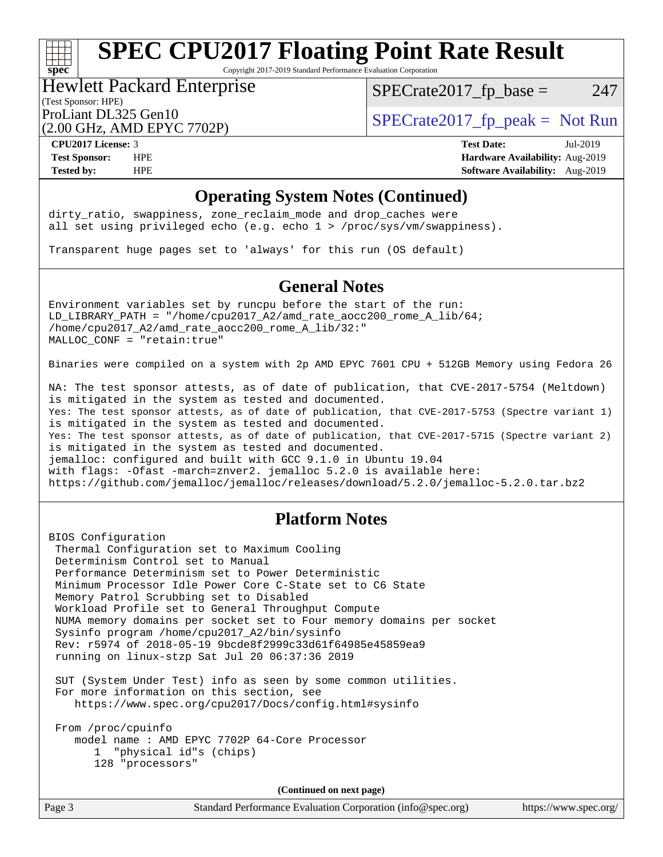Copyright 2017-2019 Standard Performance Evaluation Corporation

### Hewlett Packard Enterprise

 $SPECTate2017<sub>fr</sub> base = 247$ 

#### (Test Sponsor: HPE)

(2.00 GHz, AMD EPYC 7702P)

ProLiant DL325 Gen10  $SPECTA = 2017$   $\frac{1}{20}$  peak = Not Run

**[spec](http://www.spec.org/)**

**[CPU2017 License:](http://www.spec.org/auto/cpu2017/Docs/result-fields.html#CPU2017License)** 3 **[Test Date:](http://www.spec.org/auto/cpu2017/Docs/result-fields.html#TestDate)** Jul-2019 **[Test Sponsor:](http://www.spec.org/auto/cpu2017/Docs/result-fields.html#TestSponsor)** HPE **[Hardware Availability:](http://www.spec.org/auto/cpu2017/Docs/result-fields.html#HardwareAvailability)** Aug-2019 **[Tested by:](http://www.spec.org/auto/cpu2017/Docs/result-fields.html#Testedby)** HPE **[Software Availability:](http://www.spec.org/auto/cpu2017/Docs/result-fields.html#SoftwareAvailability)** Aug-2019

#### **[Operating System Notes \(Continued\)](http://www.spec.org/auto/cpu2017/Docs/result-fields.html#OperatingSystemNotes)**

dirty\_ratio, swappiness, zone\_reclaim\_mode and drop caches were all set using privileged echo (e.g. echo 1 > /proc/sys/vm/swappiness).

Transparent huge pages set to 'always' for this run (OS default)

#### **[General Notes](http://www.spec.org/auto/cpu2017/Docs/result-fields.html#GeneralNotes)**

Environment variables set by runcpu before the start of the run: LD\_LIBRARY\_PATH = "/home/cpu2017\_A2/amd\_rate\_aocc200\_rome\_A\_lib/64; /home/cpu2017\_A2/amd\_rate\_aocc200\_rome\_A\_lib/32:" MALLOC\_CONF = "retain:true"

Binaries were compiled on a system with 2p AMD EPYC 7601 CPU + 512GB Memory using Fedora 26

NA: The test sponsor attests, as of date of publication, that CVE-2017-5754 (Meltdown) is mitigated in the system as tested and documented. Yes: The test sponsor attests, as of date of publication, that CVE-2017-5753 (Spectre variant 1) is mitigated in the system as tested and documented. Yes: The test sponsor attests, as of date of publication, that CVE-2017-5715 (Spectre variant 2) is mitigated in the system as tested and documented. jemalloc: configured and built with GCC 9.1.0 in Ubuntu 19.04 with flags: -Ofast -march=znver2. jemalloc 5.2.0 is available here: <https://github.com/jemalloc/jemalloc/releases/download/5.2.0/jemalloc-5.2.0.tar.bz2>

#### **[Platform Notes](http://www.spec.org/auto/cpu2017/Docs/result-fields.html#PlatformNotes)**

BIOS Configuration Thermal Configuration set to Maximum Cooling Determinism Control set to Manual Performance Determinism set to Power Deterministic Minimum Processor Idle Power Core C-State set to C6 State Memory Patrol Scrubbing set to Disabled Workload Profile set to General Throughput Compute NUMA memory domains per socket set to Four memory domains per socket Sysinfo program /home/cpu2017\_A2/bin/sysinfo Rev: r5974 of 2018-05-19 9bcde8f2999c33d61f64985e45859ea9 running on linux-stzp Sat Jul 20 06:37:36 2019

 SUT (System Under Test) info as seen by some common utilities. For more information on this section, see <https://www.spec.org/cpu2017/Docs/config.html#sysinfo>

 From /proc/cpuinfo model name : AMD EPYC 7702P 64-Core Processor 1 "physical id"s (chips) 128 "processors"

**(Continued on next page)**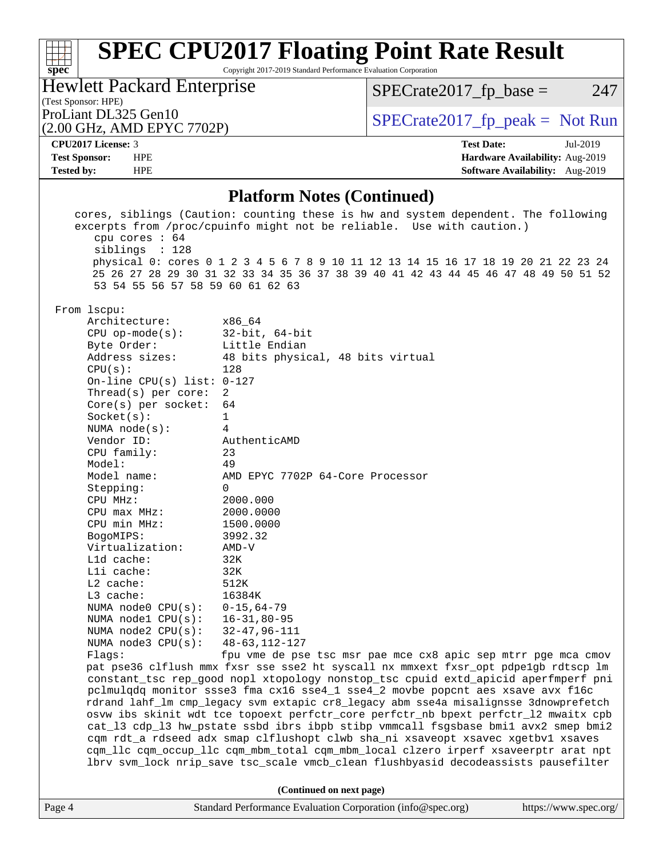Copyright 2017-2019 Standard Performance Evaluation Corporation

Hewlett Packard Enterprise

 $SPECrate2017_fp\_base = 247$ 

## (Test Sponsor: HPE)<br>ProLiant DL325 Gen10

(2.00 GHz, AMD EPYC 7702P)

 $SPECTate 2017_fp\_peak = Not Run$ 

#### **[CPU2017 License:](http://www.spec.org/auto/cpu2017/Docs/result-fields.html#CPU2017License)** 3 **[Test Date:](http://www.spec.org/auto/cpu2017/Docs/result-fields.html#TestDate)** Jul-2019

**[spec](http://www.spec.org/)**

**[Test Sponsor:](http://www.spec.org/auto/cpu2017/Docs/result-fields.html#TestSponsor)** HPE **[Hardware Availability:](http://www.spec.org/auto/cpu2017/Docs/result-fields.html#HardwareAvailability)** Aug-2019 **[Tested by:](http://www.spec.org/auto/cpu2017/Docs/result-fields.html#Testedby)** HPE **[Software Availability:](http://www.spec.org/auto/cpu2017/Docs/result-fields.html#SoftwareAvailability)** Aug-2019

#### **[Platform Notes \(Continued\)](http://www.spec.org/auto/cpu2017/Docs/result-fields.html#PlatformNotes)**

| cpu cores $: 64$<br>siblings : 128<br>53 54 55 56 57 58 59 60 61 62 63                                                                                                                                                                                                                                                                                                                                                                                                                                                                                                               | cores, siblings (Caution: counting these is hw and system dependent. The following<br>excerpts from /proc/cpuinfo might not be reliable. Use with caution.)<br>physical 0: cores 0 1 2 3 4 5 6 7 8 9 10 11 12 13 14 15 16 17 18 19 20 21 22 23 24<br>25 26 27 28 29 30 31 32 33 34 35 36 37 38 39 40 41 42 43 44 45 46 47 48 49 50 51 52                                                                                                                                                                                                                                                                                                                                                                                                                                                                                                                                                                                                                                                                                                                                   |                       |  |  |  |  |
|--------------------------------------------------------------------------------------------------------------------------------------------------------------------------------------------------------------------------------------------------------------------------------------------------------------------------------------------------------------------------------------------------------------------------------------------------------------------------------------------------------------------------------------------------------------------------------------|----------------------------------------------------------------------------------------------------------------------------------------------------------------------------------------------------------------------------------------------------------------------------------------------------------------------------------------------------------------------------------------------------------------------------------------------------------------------------------------------------------------------------------------------------------------------------------------------------------------------------------------------------------------------------------------------------------------------------------------------------------------------------------------------------------------------------------------------------------------------------------------------------------------------------------------------------------------------------------------------------------------------------------------------------------------------------|-----------------------|--|--|--|--|
| From lscpu:<br>Architecture:<br>$CPU$ op-mode( $s$ ):<br>Byte Order:<br>Address sizes:<br>CPU(s):<br>On-line CPU(s) list: $0-127$<br>Thread(s) per core:<br>Core(s) per socket:<br>Socket(s):<br>NUMA $node(s)$ :<br>Vendor ID:<br>CPU family:<br>Model:<br>Model name:<br>Stepping:<br>CPU MHz:<br>$CPU$ $max$ $MHz$ :<br>CPU min MHz:<br>BogoMIPS:<br>Virtualization:<br>L1d cache:<br>Lli cache:<br>$L2$ cache:<br>L3 cache:<br>NUMA node0 CPU(s): 0-15,64-79<br>NUMA node1 CPU(s): 16-31,80-95<br>NUMA node2 CPU(s): 32-47,96-111<br>NUMA node3 CPU(s): 48-63, 112-127<br>Flaqs: | x86 64<br>32-bit, 64-bit<br>Little Endian<br>48 bits physical, 48 bits virtual<br>128<br>2<br>64<br>$\mathbf{1}$<br>4<br>AuthenticAMD<br>23<br>49<br>AMD EPYC 7702P 64-Core Processor<br>$\Omega$<br>2000.000<br>2000.0000<br>1500.0000<br>3992.32<br>$AMD-V$<br>32K<br>32K<br>512K<br>16384K<br>fpu vme de pse tsc msr pae mce cx8 apic sep mtrr pge mca cmov<br>pat pse36 clflush mmx fxsr sse sse2 ht syscall nx mmxext fxsr_opt pdpe1gb rdtscp lm<br>constant_tsc rep_good nopl xtopology nonstop_tsc cpuid extd_apicid aperfmperf pni<br>pclmulqdq monitor ssse3 fma cx16 sse4_1 sse4_2 movbe popcnt aes xsave avx f16c<br>rdrand lahf_lm cmp_legacy svm extapic cr8_legacy abm sse4a misalignsse 3dnowprefetch<br>osvw ibs skinit wdt tce topoext perfctr_core perfctr_nb bpext perfctr_12 mwaitx cpb<br>cat_13 cdp_13 hw_pstate ssbd ibrs ibpb stibp vmmcall fsgsbase bmil avx2 smep bmi2<br>cqm rdt_a rdseed adx smap clflushopt clwb sha_ni xsaveopt xsavec xgetbvl xsaves<br>cqm_llc cqm_occup_llc cqm_mbm_total cqm_mbm_local clzero irperf xsaveerptr arat npt |                       |  |  |  |  |
| lbrv svm_lock nrip_save tsc_scale vmcb_clean flushbyasid decodeassists pausefilter                                                                                                                                                                                                                                                                                                                                                                                                                                                                                                   |                                                                                                                                                                                                                                                                                                                                                                                                                                                                                                                                                                                                                                                                                                                                                                                                                                                                                                                                                                                                                                                                            |                       |  |  |  |  |
| Page 4                                                                                                                                                                                                                                                                                                                                                                                                                                                                                                                                                                               | (Continued on next page)<br>Standard Performance Evaluation Corporation (info@spec.org)                                                                                                                                                                                                                                                                                                                                                                                                                                                                                                                                                                                                                                                                                                                                                                                                                                                                                                                                                                                    | https://www.spec.org/ |  |  |  |  |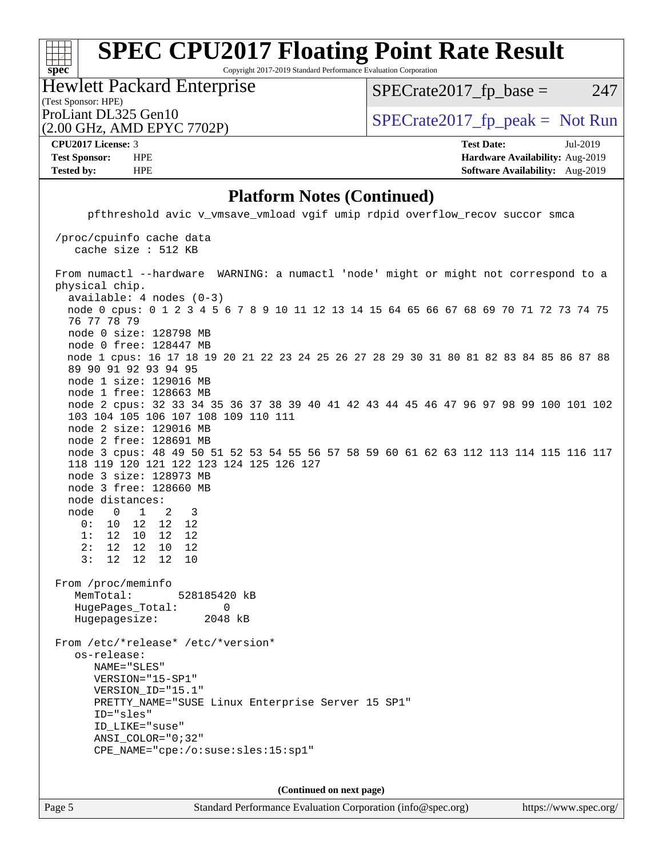Copyright 2017-2019 Standard Performance Evaluation Corporation

(Test Sponsor: HPE) Hewlett Packard Enterprise

 $SPECTate2017<sub>fr</sub> base = 247$ 

(2.00 GHz, AMD EPYC 7702P)

ProLiant DL325 Gen10  $SPECTR = 2017$   $\frac{1}{20}$  peak = Not Run

**[spec](http://www.spec.org/)**

 $\pm$ 

**[CPU2017 License:](http://www.spec.org/auto/cpu2017/Docs/result-fields.html#CPU2017License)** 3 **[Test Date:](http://www.spec.org/auto/cpu2017/Docs/result-fields.html#TestDate)** Jul-2019 **[Test Sponsor:](http://www.spec.org/auto/cpu2017/Docs/result-fields.html#TestSponsor)** HPE **[Hardware Availability:](http://www.spec.org/auto/cpu2017/Docs/result-fields.html#HardwareAvailability)** Aug-2019 **[Tested by:](http://www.spec.org/auto/cpu2017/Docs/result-fields.html#Testedby)** HPE **[Software Availability:](http://www.spec.org/auto/cpu2017/Docs/result-fields.html#SoftwareAvailability)** Aug-2019

#### **[Platform Notes \(Continued\)](http://www.spec.org/auto/cpu2017/Docs/result-fields.html#PlatformNotes)**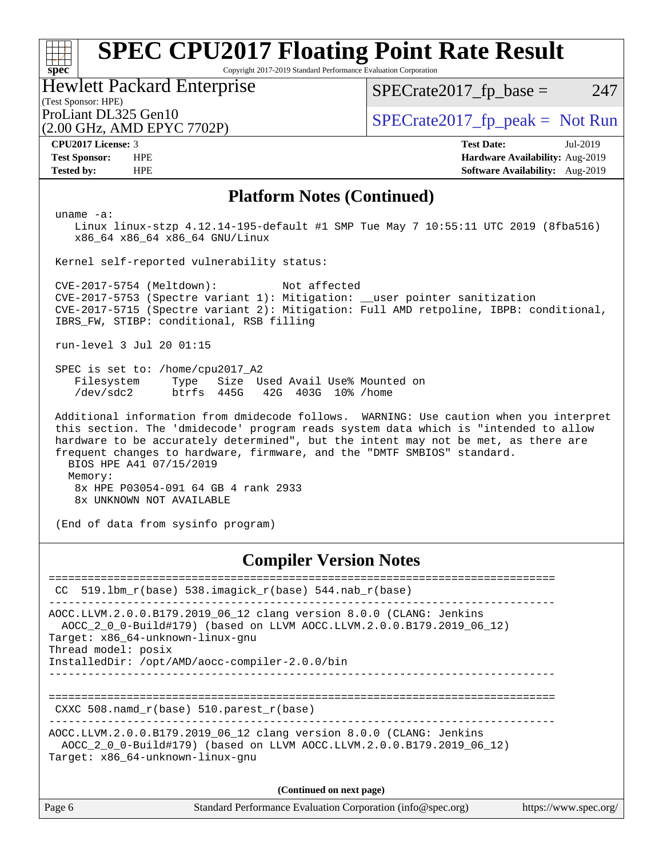Copyright 2017-2019 Standard Performance Evaluation Corporation

#### (Test Sponsor: HPE) Hewlett Packard Enterprise

 $SPECTate2017<sub>fr</sub> base = 247$ 

(2.00 GHz, AMD EPYC 7702P)

ProLiant DL325 Gen10  $SPECTA = 2017$   $\int$  [SPECrate2017\\_fp\\_peak =](http://www.spec.org/auto/cpu2017/Docs/result-fields.html#SPECrate2017fppeak) Not Run

**[spec](http://www.spec.org/)**

**[CPU2017 License:](http://www.spec.org/auto/cpu2017/Docs/result-fields.html#CPU2017License)** 3 **[Test Date:](http://www.spec.org/auto/cpu2017/Docs/result-fields.html#TestDate)** Jul-2019 **[Test Sponsor:](http://www.spec.org/auto/cpu2017/Docs/result-fields.html#TestSponsor)** HPE **[Hardware Availability:](http://www.spec.org/auto/cpu2017/Docs/result-fields.html#HardwareAvailability)** Aug-2019 **[Tested by:](http://www.spec.org/auto/cpu2017/Docs/result-fields.html#Testedby)** HPE **[Software Availability:](http://www.spec.org/auto/cpu2017/Docs/result-fields.html#SoftwareAvailability)** Aug-2019

#### **[Platform Notes \(Continued\)](http://www.spec.org/auto/cpu2017/Docs/result-fields.html#PlatformNotes)**

uname -a:

 Linux linux-stzp 4.12.14-195-default #1 SMP Tue May 7 10:55:11 UTC 2019 (8fba516) x86\_64 x86\_64 x86\_64 GNU/Linux

Kernel self-reported vulnerability status:

 CVE-2017-5754 (Meltdown): Not affected CVE-2017-5753 (Spectre variant 1): Mitigation: \_\_user pointer sanitization CVE-2017-5715 (Spectre variant 2): Mitigation: Full AMD retpoline, IBPB: conditional, IBRS\_FW, STIBP: conditional, RSB filling

run-level 3 Jul 20 01:15

 SPEC is set to: /home/cpu2017\_A2 Filesystem Type Size Used Avail Use% Mounted on /dev/sdc2 btrfs 445G 42G 403G 10% /home

 Additional information from dmidecode follows. WARNING: Use caution when you interpret this section. The 'dmidecode' program reads system data which is "intended to allow hardware to be accurately determined", but the intent may not be met, as there are frequent changes to hardware, firmware, and the "DMTF SMBIOS" standard. BIOS HPE A41 07/15/2019 Memory: 8x HPE P03054-091 64 GB 4 rank 2933

8x UNKNOWN NOT AVAILABLE

(End of data from sysinfo program)

#### **[Compiler Version Notes](http://www.spec.org/auto/cpu2017/Docs/result-fields.html#CompilerVersionNotes)**

Page 6 Standard Performance Evaluation Corporation [\(info@spec.org\)](mailto:info@spec.org) <https://www.spec.org/> ==============================================================================  $CC$  519.1bm\_ $r(base)$  538.imagick\_ $r(base)$  544.nab\_ $r(base)$ ------------------------------------------------------------------------------ AOCC.LLVM.2.0.0.B179.2019\_06\_12 clang version 8.0.0 (CLANG: Jenkins AOCC\_2\_0\_0-Build#179) (based on LLVM AOCC.LLVM.2.0.0.B179.2019\_06\_12) Target: x86\_64-unknown-linux-gnu Thread model: posix InstalledDir: /opt/AMD/aocc-compiler-2.0.0/bin ------------------------------------------------------------------------------ ============================================================================== CXXC 508.namd\_r(base) 510.parest\_r(base) ------------------------------------------------------------------------------ AOCC.LLVM.2.0.0.B179.2019\_06\_12 clang version 8.0.0 (CLANG: Jenkins AOCC\_2\_0\_0-Build#179) (based on LLVM AOCC.LLVM.2.0.0.B179.2019\_06\_12) Target: x86\_64-unknown-linux-gnu **(Continued on next page)**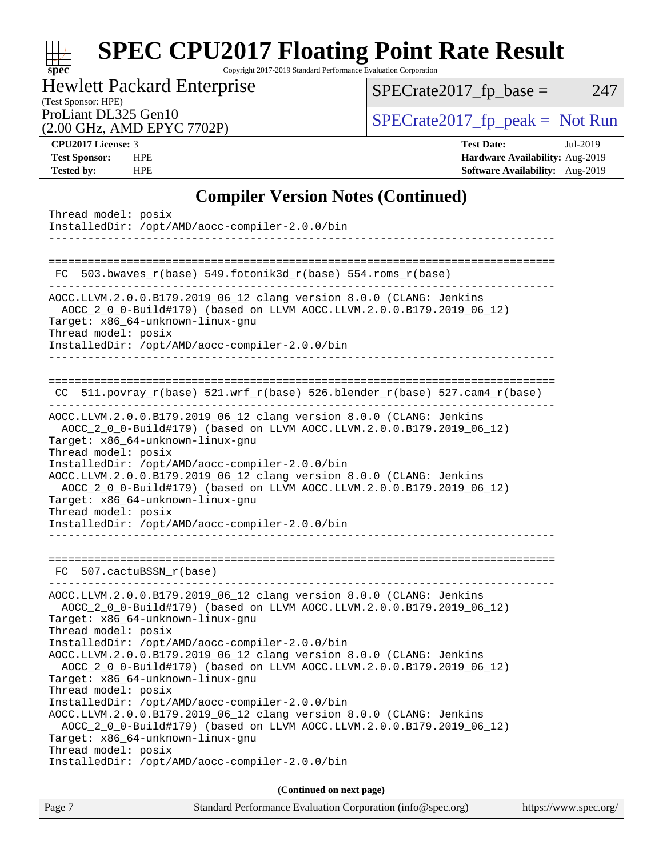Copyright 2017-2019 Standard Performance Evaluation Corporation

#### (Test Sponsor: HPE) Hewlett Packard Enterprise

 $SPECTate2017_fp\_base = 247$ 

# (2.00 GHz, AMD EPYC 7702P)

ProLiant DL325 Gen10<br>  $(2.00 \text{ GHz}$  AMD EPYC 7702P) [SPECrate2017\\_fp\\_peak =](http://www.spec.org/auto/cpu2017/Docs/result-fields.html#SPECrate2017fppeak) Not Run

**[spec](http://www.spec.org/)**

 $+\ +$ 

**[CPU2017 License:](http://www.spec.org/auto/cpu2017/Docs/result-fields.html#CPU2017License)** 3 **[Test Date:](http://www.spec.org/auto/cpu2017/Docs/result-fields.html#TestDate)** Jul-2019 **[Test Sponsor:](http://www.spec.org/auto/cpu2017/Docs/result-fields.html#TestSponsor)** HPE **[Hardware Availability:](http://www.spec.org/auto/cpu2017/Docs/result-fields.html#HardwareAvailability)** Aug-2019 **[Tested by:](http://www.spec.org/auto/cpu2017/Docs/result-fields.html#Testedby)** HPE **[Software Availability:](http://www.spec.org/auto/cpu2017/Docs/result-fields.html#SoftwareAvailability)** Aug-2019

### **[Compiler Version Notes \(Continued\)](http://www.spec.org/auto/cpu2017/Docs/result-fields.html#CompilerVersionNotes)**

| Standard Performance Evaluation Corporation (info@spec.org)<br>Page 7                                                                        | https://www.spec.org/ |
|----------------------------------------------------------------------------------------------------------------------------------------------|-----------------------|
| (Continued on next page)                                                                                                                     |                       |
| InstalledDir: /opt/AMD/aocc-compiler-2.0.0/bin                                                                                               |                       |
| Target: x86_64-unknown-linux-gnu<br>Thread model: posix                                                                                      |                       |
| AOCC.LLVM.2.0.0.B179.2019_06_12 clang version 8.0.0 (CLANG: Jenkins<br>AOCC_2_0_0-Build#179) (based on LLVM AOCC.LLVM.2.0.0.B179.2019_06_12) |                       |
| InstalledDir: /opt/AMD/aocc-compiler-2.0.0/bin                                                                                               |                       |
| Thread model: posix                                                                                                                          |                       |
| AOCC_2_0_0-Build#179) (based on LLVM AOCC.LLVM.2.0.0.B179.2019_06_12)<br>Target: x86_64-unknown-linux-gnu                                    |                       |
| AOCC.LLVM.2.0.0.B179.2019_06_12 clang version 8.0.0 (CLANG: Jenkins                                                                          |                       |
| InstalledDir: /opt/AMD/aocc-compiler-2.0.0/bin                                                                                               |                       |
| Target: x86_64-unknown-linux-gnu<br>Thread model: posix                                                                                      |                       |
| AOCC_2_0_0-Build#179) (based on LLVM AOCC.LLVM.2.0.0.B179.2019_06_12)                                                                        |                       |
| AOCC.LLVM.2.0.0.B179.2019_06_12 clang version 8.0.0 (CLANG: Jenkins                                                                          |                       |
| FC 507.cactuBSSN r(base)                                                                                                                     |                       |
|                                                                                                                                              |                       |
| Thread model: posix<br>InstalledDir: /opt/AMD/aocc-compiler-2.0.0/bin                                                                        |                       |
| Target: x86_64-unknown-linux-gnu                                                                                                             |                       |
| AOCC.LLVM.2.0.0.B179.2019_06_12 clang version 8.0.0 (CLANG: Jenkins<br>AOCC_2_0_0-Build#179) (based on LLVM AOCC.LLVM.2.0.0.B179.2019_06_12) |                       |
| InstalledDir: /opt/AMD/aocc-compiler-2.0.0/bin                                                                                               |                       |
| Thread model: posix                                                                                                                          |                       |
| AOCC_2_0_0-Build#179) (based on LLVM AOCC.LLVM.2.0.0.B179.2019_06_12)<br>Target: x86_64-unknown-linux-gnu                                    |                       |
| AOCC.LLVM.2.0.0.B179.2019_06_12 clang version 8.0.0 (CLANG: Jenkins                                                                          |                       |
| CC $511. povray_r(base) 521. wrf_r(base) 526. blender_r(base) 527. cam4_r(base)$                                                             |                       |
|                                                                                                                                              |                       |
| --------------------------------                                                                                                             |                       |
| Thread model: posix<br>InstalledDir: /opt/AMD/aocc-compiler-2.0.0/bin                                                                        |                       |
| AOCC_2_0_0-Build#179) (based on LLVM AOCC.LLVM.2.0.0.B179.2019_06_12)<br>Target: x86_64-unknown-linux-gnu                                    |                       |
| AOCC.LLVM.2.0.0.B179.2019_06_12 clang version 8.0.0 (CLANG: Jenkins                                                                          |                       |
| $FC 503.bwaves_r(base) 549.fotonik3d_r(base) 554.roms_r(base)$                                                                               |                       |
|                                                                                                                                              |                       |
| InstalledDir: /opt/AMD/aocc-compiler-2.0.0/bin<br>____________________________                                                               |                       |
| Thread model: posix                                                                                                                          |                       |
|                                                                                                                                              |                       |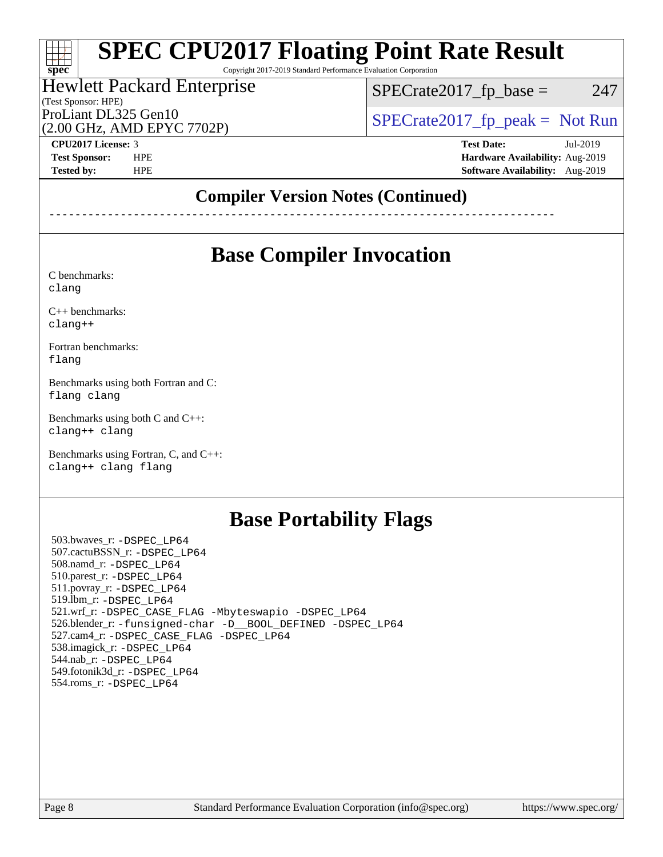Copyright 2017-2019 Standard Performance Evaluation Corporation

#### (Test Sponsor: HPE) Hewlett Packard Enterprise (2.00 GHz, AMD EPYC 7702P) ProLiant DL325 Gen10  $SPECTA = 2017$   $\frac{1}{20}$  peak = Not Run

 $SPECTate2017<sub>fr</sub> base = 247$ 

**[CPU2017 License:](http://www.spec.org/auto/cpu2017/Docs/result-fields.html#CPU2017License)** 3 **[Test Date:](http://www.spec.org/auto/cpu2017/Docs/result-fields.html#TestDate)** Jul-2019

**[spec](http://www.spec.org/)**

at t

**[Test Sponsor:](http://www.spec.org/auto/cpu2017/Docs/result-fields.html#TestSponsor)** HPE **[Hardware Availability:](http://www.spec.org/auto/cpu2017/Docs/result-fields.html#HardwareAvailability)** Aug-2019 **[Tested by:](http://www.spec.org/auto/cpu2017/Docs/result-fields.html#Testedby)** HPE **[Software Availability:](http://www.spec.org/auto/cpu2017/Docs/result-fields.html#SoftwareAvailability)** Aug-2019

### **[Compiler Version Notes \(Continued\)](http://www.spec.org/auto/cpu2017/Docs/result-fields.html#CompilerVersionNotes)**

------------------------------------------------------------------------------

### **[Base Compiler Invocation](http://www.spec.org/auto/cpu2017/Docs/result-fields.html#BaseCompilerInvocation)**

[C benchmarks](http://www.spec.org/auto/cpu2017/Docs/result-fields.html#Cbenchmarks): [clang](http://www.spec.org/cpu2017/results/res2019q3/cpu2017-20190723-16404.flags.html#user_CCbase_clang-c)

[C++ benchmarks:](http://www.spec.org/auto/cpu2017/Docs/result-fields.html#CXXbenchmarks)

[clang++](http://www.spec.org/cpu2017/results/res2019q3/cpu2017-20190723-16404.flags.html#user_CXXbase_clang-cpp)

[Fortran benchmarks](http://www.spec.org/auto/cpu2017/Docs/result-fields.html#Fortranbenchmarks): [flang](http://www.spec.org/cpu2017/results/res2019q3/cpu2017-20190723-16404.flags.html#user_FCbase_flang)

[Benchmarks using both Fortran and C](http://www.spec.org/auto/cpu2017/Docs/result-fields.html#BenchmarksusingbothFortranandC): [flang](http://www.spec.org/cpu2017/results/res2019q3/cpu2017-20190723-16404.flags.html#user_CC_FCbase_flang) [clang](http://www.spec.org/cpu2017/results/res2019q3/cpu2017-20190723-16404.flags.html#user_CC_FCbase_clang-c)

[Benchmarks using both C and C++](http://www.spec.org/auto/cpu2017/Docs/result-fields.html#BenchmarksusingbothCandCXX): [clang++](http://www.spec.org/cpu2017/results/res2019q3/cpu2017-20190723-16404.flags.html#user_CC_CXXbase_clang-cpp) [clang](http://www.spec.org/cpu2017/results/res2019q3/cpu2017-20190723-16404.flags.html#user_CC_CXXbase_clang-c)

[Benchmarks using Fortran, C, and C++:](http://www.spec.org/auto/cpu2017/Docs/result-fields.html#BenchmarksusingFortranCandCXX) [clang++](http://www.spec.org/cpu2017/results/res2019q3/cpu2017-20190723-16404.flags.html#user_CC_CXX_FCbase_clang-cpp) [clang](http://www.spec.org/cpu2017/results/res2019q3/cpu2017-20190723-16404.flags.html#user_CC_CXX_FCbase_clang-c) [flang](http://www.spec.org/cpu2017/results/res2019q3/cpu2017-20190723-16404.flags.html#user_CC_CXX_FCbase_flang)

### **[Base Portability Flags](http://www.spec.org/auto/cpu2017/Docs/result-fields.html#BasePortabilityFlags)**

 503.bwaves\_r: [-DSPEC\\_LP64](http://www.spec.org/cpu2017/results/res2019q3/cpu2017-20190723-16404.flags.html#suite_baseEXTRA_PORTABILITY503_bwaves_r_DSPEC_LP64) 507.cactuBSSN\_r: [-DSPEC\\_LP64](http://www.spec.org/cpu2017/results/res2019q3/cpu2017-20190723-16404.flags.html#suite_baseEXTRA_PORTABILITY507_cactuBSSN_r_DSPEC_LP64) 508.namd\_r: [-DSPEC\\_LP64](http://www.spec.org/cpu2017/results/res2019q3/cpu2017-20190723-16404.flags.html#suite_baseEXTRA_PORTABILITY508_namd_r_DSPEC_LP64) 510.parest\_r: [-DSPEC\\_LP64](http://www.spec.org/cpu2017/results/res2019q3/cpu2017-20190723-16404.flags.html#suite_baseEXTRA_PORTABILITY510_parest_r_DSPEC_LP64) 511.povray\_r: [-DSPEC\\_LP64](http://www.spec.org/cpu2017/results/res2019q3/cpu2017-20190723-16404.flags.html#suite_baseEXTRA_PORTABILITY511_povray_r_DSPEC_LP64) 519.lbm\_r: [-DSPEC\\_LP64](http://www.spec.org/cpu2017/results/res2019q3/cpu2017-20190723-16404.flags.html#suite_baseEXTRA_PORTABILITY519_lbm_r_DSPEC_LP64) 521.wrf\_r: [-DSPEC\\_CASE\\_FLAG](http://www.spec.org/cpu2017/results/res2019q3/cpu2017-20190723-16404.flags.html#b521.wrf_r_baseCPORTABILITY_DSPEC_CASE_FLAG) [-Mbyteswapio](http://www.spec.org/cpu2017/results/res2019q3/cpu2017-20190723-16404.flags.html#user_baseFPORTABILITY521_wrf_r_F-mbyteswapio_543c39ce38db59bcbc3b888917ef58c313007ae1c27520b689e012995ae261114051d1d5efcb4182d175ce22a6a15532d3a9999882dd2c360e6d853f41da6883) [-DSPEC\\_LP64](http://www.spec.org/cpu2017/results/res2019q3/cpu2017-20190723-16404.flags.html#suite_baseEXTRA_PORTABILITY521_wrf_r_DSPEC_LP64) 526.blender\_r: [-funsigned-char](http://www.spec.org/cpu2017/results/res2019q3/cpu2017-20190723-16404.flags.html#user_baseCPORTABILITY526_blender_r_aocc-unsigned-char) [-D\\_\\_BOOL\\_DEFINED](http://www.spec.org/cpu2017/results/res2019q3/cpu2017-20190723-16404.flags.html#b526.blender_r_baseCXXPORTABILITY_D__BOOL_DEFINED) [-DSPEC\\_LP64](http://www.spec.org/cpu2017/results/res2019q3/cpu2017-20190723-16404.flags.html#suite_baseEXTRA_PORTABILITY526_blender_r_DSPEC_LP64) 527.cam4\_r: [-DSPEC\\_CASE\\_FLAG](http://www.spec.org/cpu2017/results/res2019q3/cpu2017-20190723-16404.flags.html#b527.cam4_r_basePORTABILITY_DSPEC_CASE_FLAG) [-DSPEC\\_LP64](http://www.spec.org/cpu2017/results/res2019q3/cpu2017-20190723-16404.flags.html#suite_baseEXTRA_PORTABILITY527_cam4_r_DSPEC_LP64) 538.imagick\_r: [-DSPEC\\_LP64](http://www.spec.org/cpu2017/results/res2019q3/cpu2017-20190723-16404.flags.html#suite_baseEXTRA_PORTABILITY538_imagick_r_DSPEC_LP64) 544.nab\_r: [-DSPEC\\_LP64](http://www.spec.org/cpu2017/results/res2019q3/cpu2017-20190723-16404.flags.html#suite_baseEXTRA_PORTABILITY544_nab_r_DSPEC_LP64) 549.fotonik3d\_r: [-DSPEC\\_LP64](http://www.spec.org/cpu2017/results/res2019q3/cpu2017-20190723-16404.flags.html#suite_baseEXTRA_PORTABILITY549_fotonik3d_r_DSPEC_LP64) 554.roms\_r: [-DSPEC\\_LP64](http://www.spec.org/cpu2017/results/res2019q3/cpu2017-20190723-16404.flags.html#suite_baseEXTRA_PORTABILITY554_roms_r_DSPEC_LP64)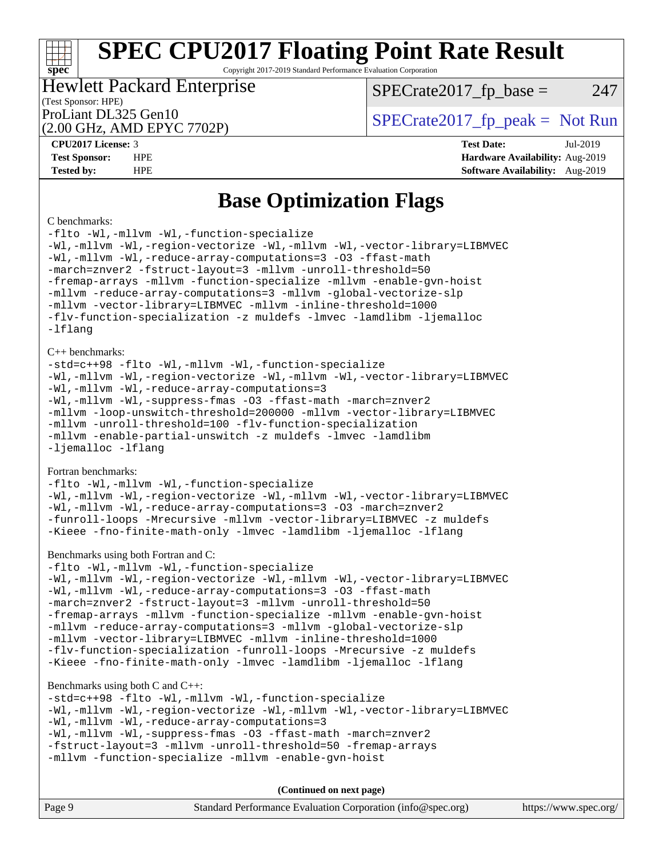Copyright 2017-2019 Standard Performance Evaluation Corporation

### Hewlett Packard Enterprise

 $SPECTate2017<sub>fr</sub> base = 247$ 

#### (Test Sponsor: HPE)

(2.00 GHz, AMD EPYC 7702P)

ProLiant DL325 Gen10  $SPECTA = 2017$   $\frac{1}{20}$  peak = Not Run

**[CPU2017 License:](http://www.spec.org/auto/cpu2017/Docs/result-fields.html#CPU2017License)** 3 **[Test Date:](http://www.spec.org/auto/cpu2017/Docs/result-fields.html#TestDate)** Jul-2019 **[Test Sponsor:](http://www.spec.org/auto/cpu2017/Docs/result-fields.html#TestSponsor)** HPE **[Hardware Availability:](http://www.spec.org/auto/cpu2017/Docs/result-fields.html#HardwareAvailability)** Aug-2019 **[Tested by:](http://www.spec.org/auto/cpu2017/Docs/result-fields.html#Testedby)** HPE **[Software Availability:](http://www.spec.org/auto/cpu2017/Docs/result-fields.html#SoftwareAvailability)** Aug-2019

### **[Base Optimization Flags](http://www.spec.org/auto/cpu2017/Docs/result-fields.html#BaseOptimizationFlags)**

#### [C benchmarks](http://www.spec.org/auto/cpu2017/Docs/result-fields.html#Cbenchmarks):

**[spec](http://www.spec.org/)**

[-flto](http://www.spec.org/cpu2017/results/res2019q3/cpu2017-20190723-16404.flags.html#user_CCbase_aocc-flto) [-Wl,-mllvm -Wl,-function-specialize](http://www.spec.org/cpu2017/results/res2019q3/cpu2017-20190723-16404.flags.html#user_CCbase_F-function-specialize_7e7e661e57922243ee67c9a1251cb8910e607325179a0ce7f2884e09a6f5d4a5ef0ae4f37e8a2a11c95fc48e931f06dc2b6016f14b511fcb441e048bef1b065a) [-Wl,-mllvm -Wl,-region-vectorize](http://www.spec.org/cpu2017/results/res2019q3/cpu2017-20190723-16404.flags.html#user_CCbase_F-region-vectorize_fb6c6b5aa293c88efc6c7c2b52b20755e943585b1fe8658c35afef78727fff56e1a56891413c30e36b8e2a6f9a71126986319243e80eb6110b78b288f533c52b) [-Wl,-mllvm -Wl,-vector-library=LIBMVEC](http://www.spec.org/cpu2017/results/res2019q3/cpu2017-20190723-16404.flags.html#user_CCbase_F-use-vector-library_0a14b27fae317f283640384a31f7bfcc2bd4c1d0b5cfc618a3a430800c9b20217b00f61303eff223a3251b4f06ffbc9739dc5296db9d1fbb9ad24a3939d86d66) [-Wl,-mllvm -Wl,-reduce-array-computations=3](http://www.spec.org/cpu2017/results/res2019q3/cpu2017-20190723-16404.flags.html#user_CCbase_F-reduce-array-computations_b882aefe7a5dda4e33149f6299762b9a720dace3e498e13756f4c04e5a19edf5315c1f3993de2e61ec41e8c206231f84e05da7040e1bb5d69ba27d10a12507e4) [-O3](http://www.spec.org/cpu2017/results/res2019q3/cpu2017-20190723-16404.flags.html#user_CCbase_F-O3) [-ffast-math](http://www.spec.org/cpu2017/results/res2019q3/cpu2017-20190723-16404.flags.html#user_CCbase_aocc-ffast-math) [-march=znver2](http://www.spec.org/cpu2017/results/res2019q3/cpu2017-20190723-16404.flags.html#user_CCbase_aocc-march_3e2e19cff2eeef60c5d90b059483627c9ea47eca6d66670dbd53f9185f6439e27eb5e104cf773e9e8ab18c8842ce63e461a3e948d0214bd567ef3ade411bf467) [-fstruct-layout=3](http://www.spec.org/cpu2017/results/res2019q3/cpu2017-20190723-16404.flags.html#user_CCbase_F-struct-layout) [-mllvm -unroll-threshold=50](http://www.spec.org/cpu2017/results/res2019q3/cpu2017-20190723-16404.flags.html#user_CCbase_F-unroll-threshold_458874500b2c105d6d5cb4d7a611c40e2b16e9e3d26b355fea72d644c3673b4de4b3932662f0ed3dbec75c491a13da2d2ca81180bd779dc531083ef1e1e549dc) [-fremap-arrays](http://www.spec.org/cpu2017/results/res2019q3/cpu2017-20190723-16404.flags.html#user_CCbase_F-fremap-arrays) [-mllvm -function-specialize](http://www.spec.org/cpu2017/results/res2019q3/cpu2017-20190723-16404.flags.html#user_CCbase_F-function-specialize_233b3bdba86027f1b094368157e481c5bc59f40286dc25bfadc1858dcd5745c24fd30d5f188710db7fea399bcc9f44a80b3ce3aacc70a8870250c3ae5e1f35b8) [-mllvm -enable-gvn-hoist](http://www.spec.org/cpu2017/results/res2019q3/cpu2017-20190723-16404.flags.html#user_CCbase_F-enable-gvn-hoist_e5856354646dd6ca1333a0ad99b817e4cf8932b91b82809fd8fd47ceff7b22a89eba5c98fd3e3fa5200368fd772cec3dd56abc3c8f7b655a71b9f9848dddedd5) [-mllvm -reduce-array-computations=3](http://www.spec.org/cpu2017/results/res2019q3/cpu2017-20190723-16404.flags.html#user_CCbase_F-reduce-array-computations_aceadb8604558b566e0e3a0d7a3c1533923dd1fa0889614e16288028922629a28d5695c24d3b3be4306b1e311c54317dfffe3a2e57fbcaabc737a1798de39145) [-mllvm -global-vectorize-slp](http://www.spec.org/cpu2017/results/res2019q3/cpu2017-20190723-16404.flags.html#user_CCbase_F-global-vectorize-slp_a3935e8627af4ced727033b1ffd4db27f4d541a363d28d82bf4c2925fb3a0fd4115d6e42d13a2829f9e024d6608eb67a85cb49770f2da5c5ac8dbc737afad603) [-mllvm -vector-library=LIBMVEC](http://www.spec.org/cpu2017/results/res2019q3/cpu2017-20190723-16404.flags.html#user_CCbase_F-use-vector-library_e584e20b4f7ec96aa109254b65d8e01d864f3d68580371b9d93ed7c338191d4cfce20c3c864632264effc6bbe4c7c38153d02096a342ee92501c4a53204a7871) [-mllvm -inline-threshold=1000](http://www.spec.org/cpu2017/results/res2019q3/cpu2017-20190723-16404.flags.html#user_CCbase_dragonegg-llvm-inline-threshold_b7832241b0a6397e4ecdbaf0eb7defdc10f885c2a282fa3240fdc99844d543fda39cf8a4a9dccf68cf19b5438ac3b455264f478df15da0f4988afa40d8243bab) [-flv-function-specialization](http://www.spec.org/cpu2017/results/res2019q3/cpu2017-20190723-16404.flags.html#user_CCbase_F-flv-function-specialization) [-z muldefs](http://www.spec.org/cpu2017/results/res2019q3/cpu2017-20190723-16404.flags.html#user_CCbase_aocc-muldefs) [-lmvec](http://www.spec.org/cpu2017/results/res2019q3/cpu2017-20190723-16404.flags.html#user_CCbase_F-lmvec) [-lamdlibm](http://www.spec.org/cpu2017/results/res2019q3/cpu2017-20190723-16404.flags.html#user_CCbase_F-lamdlibm) [-ljemalloc](http://www.spec.org/cpu2017/results/res2019q3/cpu2017-20190723-16404.flags.html#user_CCbase_jemalloc-lib) [-lflang](http://www.spec.org/cpu2017/results/res2019q3/cpu2017-20190723-16404.flags.html#user_CCbase_F-lflang)

#### [C++ benchmarks:](http://www.spec.org/auto/cpu2017/Docs/result-fields.html#CXXbenchmarks)

[-std=c++98](http://www.spec.org/cpu2017/results/res2019q3/cpu2017-20190723-16404.flags.html#user_CXXbase_std-cpp) [-flto](http://www.spec.org/cpu2017/results/res2019q3/cpu2017-20190723-16404.flags.html#user_CXXbase_aocc-flto) [-Wl,-mllvm -Wl,-function-specialize](http://www.spec.org/cpu2017/results/res2019q3/cpu2017-20190723-16404.flags.html#user_CXXbase_F-function-specialize_7e7e661e57922243ee67c9a1251cb8910e607325179a0ce7f2884e09a6f5d4a5ef0ae4f37e8a2a11c95fc48e931f06dc2b6016f14b511fcb441e048bef1b065a) [-Wl,-mllvm -Wl,-region-vectorize](http://www.spec.org/cpu2017/results/res2019q3/cpu2017-20190723-16404.flags.html#user_CXXbase_F-region-vectorize_fb6c6b5aa293c88efc6c7c2b52b20755e943585b1fe8658c35afef78727fff56e1a56891413c30e36b8e2a6f9a71126986319243e80eb6110b78b288f533c52b) [-Wl,-mllvm -Wl,-vector-library=LIBMVEC](http://www.spec.org/cpu2017/results/res2019q3/cpu2017-20190723-16404.flags.html#user_CXXbase_F-use-vector-library_0a14b27fae317f283640384a31f7bfcc2bd4c1d0b5cfc618a3a430800c9b20217b00f61303eff223a3251b4f06ffbc9739dc5296db9d1fbb9ad24a3939d86d66) [-Wl,-mllvm -Wl,-reduce-array-computations=3](http://www.spec.org/cpu2017/results/res2019q3/cpu2017-20190723-16404.flags.html#user_CXXbase_F-reduce-array-computations_b882aefe7a5dda4e33149f6299762b9a720dace3e498e13756f4c04e5a19edf5315c1f3993de2e61ec41e8c206231f84e05da7040e1bb5d69ba27d10a12507e4) [-Wl,-mllvm -Wl,-suppress-fmas](http://www.spec.org/cpu2017/results/res2019q3/cpu2017-20190723-16404.flags.html#user_CXXbase_F-suppress-fmas_f00f00630e4a059e8af9c161e9bbf420bcf19890a7f99d5933525e66aa4b0bb3ab2339d2b12d97d3a5f5d271e839fe9c109938e91fe06230fb53651590cfa1e8) [-O3](http://www.spec.org/cpu2017/results/res2019q3/cpu2017-20190723-16404.flags.html#user_CXXbase_F-O3) [-ffast-math](http://www.spec.org/cpu2017/results/res2019q3/cpu2017-20190723-16404.flags.html#user_CXXbase_aocc-ffast-math) [-march=znver2](http://www.spec.org/cpu2017/results/res2019q3/cpu2017-20190723-16404.flags.html#user_CXXbase_aocc-march_3e2e19cff2eeef60c5d90b059483627c9ea47eca6d66670dbd53f9185f6439e27eb5e104cf773e9e8ab18c8842ce63e461a3e948d0214bd567ef3ade411bf467) [-mllvm -loop-unswitch-threshold=200000](http://www.spec.org/cpu2017/results/res2019q3/cpu2017-20190723-16404.flags.html#user_CXXbase_F-loop-unswitch-threshold_f9a82ae3270e55b5fbf79d0d96ee93606b73edbbe527d20b18b7bff1a3a146ad50cfc7454c5297978340ae9213029016a7d16221274d672d3f7f42ed25274e1d) [-mllvm -vector-library=LIBMVEC](http://www.spec.org/cpu2017/results/res2019q3/cpu2017-20190723-16404.flags.html#user_CXXbase_F-use-vector-library_e584e20b4f7ec96aa109254b65d8e01d864f3d68580371b9d93ed7c338191d4cfce20c3c864632264effc6bbe4c7c38153d02096a342ee92501c4a53204a7871) [-mllvm -unroll-threshold=100](http://www.spec.org/cpu2017/results/res2019q3/cpu2017-20190723-16404.flags.html#user_CXXbase_F-unroll-threshold_2755d0c78138845d361fa1543e3a063fffa198df9b3edf0cfb856bbc88a81e1769b12ac7a550c5d35197be55360db1a3f95a8d1304df999456cabf5120c45168) [-flv-function-specialization](http://www.spec.org/cpu2017/results/res2019q3/cpu2017-20190723-16404.flags.html#user_CXXbase_F-flv-function-specialization) [-mllvm -enable-partial-unswitch](http://www.spec.org/cpu2017/results/res2019q3/cpu2017-20190723-16404.flags.html#user_CXXbase_F-enable-partial-unswitch_6e1c33f981d77963b1eaf834973128a7f33ce3f8e27f54689656697a35e89dcc875281e0e6283d043e32f367dcb605ba0e307a92e830f7e326789fa6c61b35d3) [-z muldefs](http://www.spec.org/cpu2017/results/res2019q3/cpu2017-20190723-16404.flags.html#user_CXXbase_aocc-muldefs) [-lmvec](http://www.spec.org/cpu2017/results/res2019q3/cpu2017-20190723-16404.flags.html#user_CXXbase_F-lmvec) [-lamdlibm](http://www.spec.org/cpu2017/results/res2019q3/cpu2017-20190723-16404.flags.html#user_CXXbase_F-lamdlibm) [-ljemalloc](http://www.spec.org/cpu2017/results/res2019q3/cpu2017-20190723-16404.flags.html#user_CXXbase_jemalloc-lib) [-lflang](http://www.spec.org/cpu2017/results/res2019q3/cpu2017-20190723-16404.flags.html#user_CXXbase_F-lflang)

#### [Fortran benchmarks](http://www.spec.org/auto/cpu2017/Docs/result-fields.html#Fortranbenchmarks):

[-flto](http://www.spec.org/cpu2017/results/res2019q3/cpu2017-20190723-16404.flags.html#user_FCbase_aocc-flto) [-Wl,-mllvm -Wl,-function-specialize](http://www.spec.org/cpu2017/results/res2019q3/cpu2017-20190723-16404.flags.html#user_FCbase_F-function-specialize_7e7e661e57922243ee67c9a1251cb8910e607325179a0ce7f2884e09a6f5d4a5ef0ae4f37e8a2a11c95fc48e931f06dc2b6016f14b511fcb441e048bef1b065a) [-Wl,-mllvm -Wl,-region-vectorize](http://www.spec.org/cpu2017/results/res2019q3/cpu2017-20190723-16404.flags.html#user_FCbase_F-region-vectorize_fb6c6b5aa293c88efc6c7c2b52b20755e943585b1fe8658c35afef78727fff56e1a56891413c30e36b8e2a6f9a71126986319243e80eb6110b78b288f533c52b) [-Wl,-mllvm -Wl,-vector-library=LIBMVEC](http://www.spec.org/cpu2017/results/res2019q3/cpu2017-20190723-16404.flags.html#user_FCbase_F-use-vector-library_0a14b27fae317f283640384a31f7bfcc2bd4c1d0b5cfc618a3a430800c9b20217b00f61303eff223a3251b4f06ffbc9739dc5296db9d1fbb9ad24a3939d86d66) [-Wl,-mllvm -Wl,-reduce-array-computations=3](http://www.spec.org/cpu2017/results/res2019q3/cpu2017-20190723-16404.flags.html#user_FCbase_F-reduce-array-computations_b882aefe7a5dda4e33149f6299762b9a720dace3e498e13756f4c04e5a19edf5315c1f3993de2e61ec41e8c206231f84e05da7040e1bb5d69ba27d10a12507e4) [-O3](http://www.spec.org/cpu2017/results/res2019q3/cpu2017-20190723-16404.flags.html#user_FCbase_F-O3) [-march=znver2](http://www.spec.org/cpu2017/results/res2019q3/cpu2017-20190723-16404.flags.html#user_FCbase_aocc-march_3e2e19cff2eeef60c5d90b059483627c9ea47eca6d66670dbd53f9185f6439e27eb5e104cf773e9e8ab18c8842ce63e461a3e948d0214bd567ef3ade411bf467) [-funroll-loops](http://www.spec.org/cpu2017/results/res2019q3/cpu2017-20190723-16404.flags.html#user_FCbase_aocc-unroll-loops) [-Mrecursive](http://www.spec.org/cpu2017/results/res2019q3/cpu2017-20190723-16404.flags.html#user_FCbase_F-mrecursive_20a145d63f12d5750a899e17d4450b5b8b40330a9bb4af13688ca650e6fb30857bbbe44fb35cdbb895df6e5b2769de0a0d7659f51ff17acfbef6febafec4023f) [-mllvm -vector-library=LIBMVEC](http://www.spec.org/cpu2017/results/res2019q3/cpu2017-20190723-16404.flags.html#user_FCbase_F-use-vector-library_e584e20b4f7ec96aa109254b65d8e01d864f3d68580371b9d93ed7c338191d4cfce20c3c864632264effc6bbe4c7c38153d02096a342ee92501c4a53204a7871) [-z muldefs](http://www.spec.org/cpu2017/results/res2019q3/cpu2017-20190723-16404.flags.html#user_FCbase_aocc-muldefs) [-Kieee](http://www.spec.org/cpu2017/results/res2019q3/cpu2017-20190723-16404.flags.html#user_FCbase_F-kieee) [-fno-finite-math-only](http://www.spec.org/cpu2017/results/res2019q3/cpu2017-20190723-16404.flags.html#user_FCbase_aocc-fno-finite-math-only) [-lmvec](http://www.spec.org/cpu2017/results/res2019q3/cpu2017-20190723-16404.flags.html#user_FCbase_F-lmvec) [-lamdlibm](http://www.spec.org/cpu2017/results/res2019q3/cpu2017-20190723-16404.flags.html#user_FCbase_F-lamdlibm) [-ljemalloc](http://www.spec.org/cpu2017/results/res2019q3/cpu2017-20190723-16404.flags.html#user_FCbase_jemalloc-lib) [-lflang](http://www.spec.org/cpu2017/results/res2019q3/cpu2017-20190723-16404.flags.html#user_FCbase_F-lflang)

#### [Benchmarks using both Fortran and C](http://www.spec.org/auto/cpu2017/Docs/result-fields.html#BenchmarksusingbothFortranandC):

[-flto](http://www.spec.org/cpu2017/results/res2019q3/cpu2017-20190723-16404.flags.html#user_CC_FCbase_aocc-flto) [-Wl,-mllvm -Wl,-function-specialize](http://www.spec.org/cpu2017/results/res2019q3/cpu2017-20190723-16404.flags.html#user_CC_FCbase_F-function-specialize_7e7e661e57922243ee67c9a1251cb8910e607325179a0ce7f2884e09a6f5d4a5ef0ae4f37e8a2a11c95fc48e931f06dc2b6016f14b511fcb441e048bef1b065a) [-Wl,-mllvm -Wl,-region-vectorize](http://www.spec.org/cpu2017/results/res2019q3/cpu2017-20190723-16404.flags.html#user_CC_FCbase_F-region-vectorize_fb6c6b5aa293c88efc6c7c2b52b20755e943585b1fe8658c35afef78727fff56e1a56891413c30e36b8e2a6f9a71126986319243e80eb6110b78b288f533c52b) [-Wl,-mllvm -Wl,-vector-library=LIBMVEC](http://www.spec.org/cpu2017/results/res2019q3/cpu2017-20190723-16404.flags.html#user_CC_FCbase_F-use-vector-library_0a14b27fae317f283640384a31f7bfcc2bd4c1d0b5cfc618a3a430800c9b20217b00f61303eff223a3251b4f06ffbc9739dc5296db9d1fbb9ad24a3939d86d66) [-Wl,-mllvm -Wl,-reduce-array-computations=3](http://www.spec.org/cpu2017/results/res2019q3/cpu2017-20190723-16404.flags.html#user_CC_FCbase_F-reduce-array-computations_b882aefe7a5dda4e33149f6299762b9a720dace3e498e13756f4c04e5a19edf5315c1f3993de2e61ec41e8c206231f84e05da7040e1bb5d69ba27d10a12507e4) [-O3](http://www.spec.org/cpu2017/results/res2019q3/cpu2017-20190723-16404.flags.html#user_CC_FCbase_F-O3) [-ffast-math](http://www.spec.org/cpu2017/results/res2019q3/cpu2017-20190723-16404.flags.html#user_CC_FCbase_aocc-ffast-math) [-march=znver2](http://www.spec.org/cpu2017/results/res2019q3/cpu2017-20190723-16404.flags.html#user_CC_FCbase_aocc-march_3e2e19cff2eeef60c5d90b059483627c9ea47eca6d66670dbd53f9185f6439e27eb5e104cf773e9e8ab18c8842ce63e461a3e948d0214bd567ef3ade411bf467) [-fstruct-layout=3](http://www.spec.org/cpu2017/results/res2019q3/cpu2017-20190723-16404.flags.html#user_CC_FCbase_F-struct-layout) [-mllvm -unroll-threshold=50](http://www.spec.org/cpu2017/results/res2019q3/cpu2017-20190723-16404.flags.html#user_CC_FCbase_F-unroll-threshold_458874500b2c105d6d5cb4d7a611c40e2b16e9e3d26b355fea72d644c3673b4de4b3932662f0ed3dbec75c491a13da2d2ca81180bd779dc531083ef1e1e549dc) [-fremap-arrays](http://www.spec.org/cpu2017/results/res2019q3/cpu2017-20190723-16404.flags.html#user_CC_FCbase_F-fremap-arrays) [-mllvm -function-specialize](http://www.spec.org/cpu2017/results/res2019q3/cpu2017-20190723-16404.flags.html#user_CC_FCbase_F-function-specialize_233b3bdba86027f1b094368157e481c5bc59f40286dc25bfadc1858dcd5745c24fd30d5f188710db7fea399bcc9f44a80b3ce3aacc70a8870250c3ae5e1f35b8) [-mllvm -enable-gvn-hoist](http://www.spec.org/cpu2017/results/res2019q3/cpu2017-20190723-16404.flags.html#user_CC_FCbase_F-enable-gvn-hoist_e5856354646dd6ca1333a0ad99b817e4cf8932b91b82809fd8fd47ceff7b22a89eba5c98fd3e3fa5200368fd772cec3dd56abc3c8f7b655a71b9f9848dddedd5) [-mllvm -reduce-array-computations=3](http://www.spec.org/cpu2017/results/res2019q3/cpu2017-20190723-16404.flags.html#user_CC_FCbase_F-reduce-array-computations_aceadb8604558b566e0e3a0d7a3c1533923dd1fa0889614e16288028922629a28d5695c24d3b3be4306b1e311c54317dfffe3a2e57fbcaabc737a1798de39145) [-mllvm -global-vectorize-slp](http://www.spec.org/cpu2017/results/res2019q3/cpu2017-20190723-16404.flags.html#user_CC_FCbase_F-global-vectorize-slp_a3935e8627af4ced727033b1ffd4db27f4d541a363d28d82bf4c2925fb3a0fd4115d6e42d13a2829f9e024d6608eb67a85cb49770f2da5c5ac8dbc737afad603) [-mllvm -vector-library=LIBMVEC](http://www.spec.org/cpu2017/results/res2019q3/cpu2017-20190723-16404.flags.html#user_CC_FCbase_F-use-vector-library_e584e20b4f7ec96aa109254b65d8e01d864f3d68580371b9d93ed7c338191d4cfce20c3c864632264effc6bbe4c7c38153d02096a342ee92501c4a53204a7871) [-mllvm -inline-threshold=1000](http://www.spec.org/cpu2017/results/res2019q3/cpu2017-20190723-16404.flags.html#user_CC_FCbase_dragonegg-llvm-inline-threshold_b7832241b0a6397e4ecdbaf0eb7defdc10f885c2a282fa3240fdc99844d543fda39cf8a4a9dccf68cf19b5438ac3b455264f478df15da0f4988afa40d8243bab) [-flv-function-specialization](http://www.spec.org/cpu2017/results/res2019q3/cpu2017-20190723-16404.flags.html#user_CC_FCbase_F-flv-function-specialization) [-funroll-loops](http://www.spec.org/cpu2017/results/res2019q3/cpu2017-20190723-16404.flags.html#user_CC_FCbase_aocc-unroll-loops) [-Mrecursive](http://www.spec.org/cpu2017/results/res2019q3/cpu2017-20190723-16404.flags.html#user_CC_FCbase_F-mrecursive_20a145d63f12d5750a899e17d4450b5b8b40330a9bb4af13688ca650e6fb30857bbbe44fb35cdbb895df6e5b2769de0a0d7659f51ff17acfbef6febafec4023f) [-z muldefs](http://www.spec.org/cpu2017/results/res2019q3/cpu2017-20190723-16404.flags.html#user_CC_FCbase_aocc-muldefs) [-Kieee](http://www.spec.org/cpu2017/results/res2019q3/cpu2017-20190723-16404.flags.html#user_CC_FCbase_F-kieee) [-fno-finite-math-only](http://www.spec.org/cpu2017/results/res2019q3/cpu2017-20190723-16404.flags.html#user_CC_FCbase_aocc-fno-finite-math-only) [-lmvec](http://www.spec.org/cpu2017/results/res2019q3/cpu2017-20190723-16404.flags.html#user_CC_FCbase_F-lmvec) [-lamdlibm](http://www.spec.org/cpu2017/results/res2019q3/cpu2017-20190723-16404.flags.html#user_CC_FCbase_F-lamdlibm) [-ljemalloc](http://www.spec.org/cpu2017/results/res2019q3/cpu2017-20190723-16404.flags.html#user_CC_FCbase_jemalloc-lib) [-lflang](http://www.spec.org/cpu2017/results/res2019q3/cpu2017-20190723-16404.flags.html#user_CC_FCbase_F-lflang)

#### [Benchmarks using both C and C++:](http://www.spec.org/auto/cpu2017/Docs/result-fields.html#BenchmarksusingbothCandCXX)

[-std=c++98](http://www.spec.org/cpu2017/results/res2019q3/cpu2017-20190723-16404.flags.html#user_CC_CXXbase_std-cpp) [-flto](http://www.spec.org/cpu2017/results/res2019q3/cpu2017-20190723-16404.flags.html#user_CC_CXXbase_aocc-flto) [-Wl,-mllvm -Wl,-function-specialize](http://www.spec.org/cpu2017/results/res2019q3/cpu2017-20190723-16404.flags.html#user_CC_CXXbase_F-function-specialize_7e7e661e57922243ee67c9a1251cb8910e607325179a0ce7f2884e09a6f5d4a5ef0ae4f37e8a2a11c95fc48e931f06dc2b6016f14b511fcb441e048bef1b065a) [-Wl,-mllvm -Wl,-region-vectorize](http://www.spec.org/cpu2017/results/res2019q3/cpu2017-20190723-16404.flags.html#user_CC_CXXbase_F-region-vectorize_fb6c6b5aa293c88efc6c7c2b52b20755e943585b1fe8658c35afef78727fff56e1a56891413c30e36b8e2a6f9a71126986319243e80eb6110b78b288f533c52b) [-Wl,-mllvm -Wl,-vector-library=LIBMVEC](http://www.spec.org/cpu2017/results/res2019q3/cpu2017-20190723-16404.flags.html#user_CC_CXXbase_F-use-vector-library_0a14b27fae317f283640384a31f7bfcc2bd4c1d0b5cfc618a3a430800c9b20217b00f61303eff223a3251b4f06ffbc9739dc5296db9d1fbb9ad24a3939d86d66) [-Wl,-mllvm -Wl,-reduce-array-computations=3](http://www.spec.org/cpu2017/results/res2019q3/cpu2017-20190723-16404.flags.html#user_CC_CXXbase_F-reduce-array-computations_b882aefe7a5dda4e33149f6299762b9a720dace3e498e13756f4c04e5a19edf5315c1f3993de2e61ec41e8c206231f84e05da7040e1bb5d69ba27d10a12507e4) [-Wl,-mllvm -Wl,-suppress-fmas](http://www.spec.org/cpu2017/results/res2019q3/cpu2017-20190723-16404.flags.html#user_CC_CXXbase_F-suppress-fmas_f00f00630e4a059e8af9c161e9bbf420bcf19890a7f99d5933525e66aa4b0bb3ab2339d2b12d97d3a5f5d271e839fe9c109938e91fe06230fb53651590cfa1e8) [-O3](http://www.spec.org/cpu2017/results/res2019q3/cpu2017-20190723-16404.flags.html#user_CC_CXXbase_F-O3) [-ffast-math](http://www.spec.org/cpu2017/results/res2019q3/cpu2017-20190723-16404.flags.html#user_CC_CXXbase_aocc-ffast-math) [-march=znver2](http://www.spec.org/cpu2017/results/res2019q3/cpu2017-20190723-16404.flags.html#user_CC_CXXbase_aocc-march_3e2e19cff2eeef60c5d90b059483627c9ea47eca6d66670dbd53f9185f6439e27eb5e104cf773e9e8ab18c8842ce63e461a3e948d0214bd567ef3ade411bf467) [-fstruct-layout=3](http://www.spec.org/cpu2017/results/res2019q3/cpu2017-20190723-16404.flags.html#user_CC_CXXbase_F-struct-layout) [-mllvm -unroll-threshold=50](http://www.spec.org/cpu2017/results/res2019q3/cpu2017-20190723-16404.flags.html#user_CC_CXXbase_F-unroll-threshold_458874500b2c105d6d5cb4d7a611c40e2b16e9e3d26b355fea72d644c3673b4de4b3932662f0ed3dbec75c491a13da2d2ca81180bd779dc531083ef1e1e549dc) [-fremap-arrays](http://www.spec.org/cpu2017/results/res2019q3/cpu2017-20190723-16404.flags.html#user_CC_CXXbase_F-fremap-arrays) [-mllvm -function-specialize](http://www.spec.org/cpu2017/results/res2019q3/cpu2017-20190723-16404.flags.html#user_CC_CXXbase_F-function-specialize_233b3bdba86027f1b094368157e481c5bc59f40286dc25bfadc1858dcd5745c24fd30d5f188710db7fea399bcc9f44a80b3ce3aacc70a8870250c3ae5e1f35b8) [-mllvm -enable-gvn-hoist](http://www.spec.org/cpu2017/results/res2019q3/cpu2017-20190723-16404.flags.html#user_CC_CXXbase_F-enable-gvn-hoist_e5856354646dd6ca1333a0ad99b817e4cf8932b91b82809fd8fd47ceff7b22a89eba5c98fd3e3fa5200368fd772cec3dd56abc3c8f7b655a71b9f9848dddedd5)

**(Continued on next page)**

| Page 9 | Standard Performance Evaluation Corporation (info@spec.org) | https://www.spec.org/ |
|--------|-------------------------------------------------------------|-----------------------|
|        |                                                             |                       |